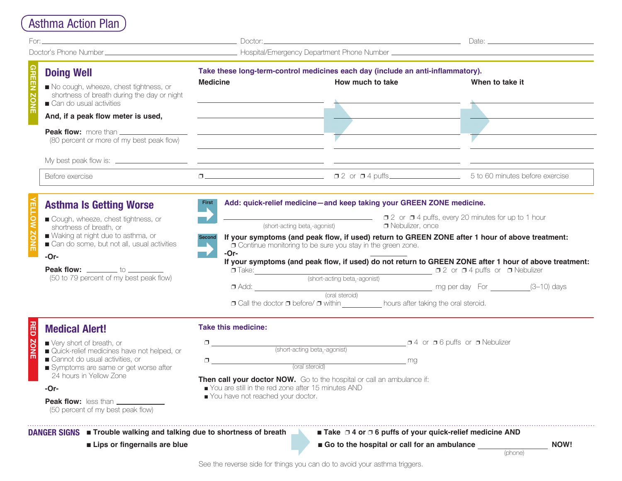# Asthma Action Plan

| Take these long-term-control medicines each day (include an anti-inflammatory).<br><b>Doing Well</b><br><b>Medicine</b><br>How much to take<br>When to take it<br>No cough, wheeze, chest tightness, or<br>shortness of breath during the day or night<br>Can do usual activities<br><u> 1980 - Johann Barbara, martin amerikan basal da</u><br>And, if a peak flow meter is used,<br>Peak flow: more than <b><i>_____________</i></b><br><u> 1980 - Andrea Barbara, amerikan personal (h. 1980).</u><br>(80 percent or more of my best peak flow)<br>Before exercise<br>Add: quick-relief medicine-and keep taking your GREEN ZONE medicine.<br><b>First</b><br><b>Asthma Is Getting Worse</b><br>■ 2 or ■ 4 puffs, every 20 minutes for up to 1 hour<br>Cough, wheeze, chest tightness, or<br>Nebulizer, once<br>(short-acting beta,-agonist)<br>shortness of breath, or<br>Waking at night due to asthma, or<br>If your symptoms (and peak flow, if used) return to GREEN ZONE after 1 hour of above treatment:<br>Second<br>Can do some, but not all, usual activities<br><b>O</b> Continue monitoring to be sure you stay in the green zone.<br>-Or-<br>$-Or-$<br>If your symptoms (and peak flow, if used) do not return to GREEN ZONE after 1 hour of above treatment:<br><b>Peak flow:</b> _________ to _________<br>$\Box$ Take: $\Box$ (short-acting beta <sub>2</sub> -agonist) $\Box$ 2 or $\Box$ 4 puffs or $\Box$ Nebulizer<br>(50 to 79 percent of my best peak flow)<br>□ Add: (3-10) days<br>(oral steroid) mg per day For (3-10) days<br>□ Call the doctor □ before/ □ within ___________ hours after taking the oral steroid.<br><b>Take this medicine:</b><br><b>Medical Alert!</b><br>a 4 or a 6 puffs or a Nebulizer<br>■ Very short of breath, or<br>$\begin{tabular}{c} \hline \end{tabular} \begin{tabular}{p{5.5cm}c} \hline \end{tabular} \begin{tabular}{p{5.5cm}c} \hline \end{tabular} \begin{tabular}{p{5.5cm}c} \hline \end{tabular} \begin{tabular}{p{5.5cm}c} \hline \end{tabular} \begin{tabular}{p{5.5cm}c} \hline \end{tabular} \begin{tabular}{p{5.5cm}c} \hline \end{tabular} \begin{tabular}{p{5.5cm}c} \hline \end{tabular} \begin{tabular}{p{5.5cm}c} \hline \end{tabular} \begin{tabular}{p{5.5$<br>Quick-relief medicines have not helped, or<br>Cannot do usual activities, or<br>$\begin{picture}(150,10) \put(0,0){\line(1,0){10}} \put(15,0){\line(1,0){10}} \put(15,0){\line(1,0){10}} \put(15,0){\line(1,0){10}} \put(15,0){\line(1,0){10}} \put(15,0){\line(1,0){10}} \put(15,0){\line(1,0){10}} \put(15,0){\line(1,0){10}} \put(15,0){\line(1,0){10}} \put(15,0){\line(1,0){10}} \put(15,0){\line(1,0){10}} \put(15,0){\line($<br>Symptoms are same or get worse after<br>24 hours in Yellow Zone |  |  |  |
|-------------------------------------------------------------------------------------------------------------------------------------------------------------------------------------------------------------------------------------------------------------------------------------------------------------------------------------------------------------------------------------------------------------------------------------------------------------------------------------------------------------------------------------------------------------------------------------------------------------------------------------------------------------------------------------------------------------------------------------------------------------------------------------------------------------------------------------------------------------------------------------------------------------------------------------------------------------------------------------------------------------------------------------------------------------------------------------------------------------------------------------------------------------------------------------------------------------------------------------------------------------------------------------------------------------------------------------------------------------------------------------------------------------------------------------------------------------------------------------------------------------------------------------------------------------------------------------------------------------------------------------------------------------------------------------------------------------------------------------------------------------------------------------------------------------------------------------------------------------------------------------------------------------------------------------------------------------------------------------------------------------------------------------------------------------------------------------------------------------------------------------------------------------------------------------------------------------------------------------------------------------------------------------------------------------------------------------------------------------------------------------------------------------------------------------------------------------------------------------------------------------------------------------------------------------------------------------------------------------------------------------------------------------------------------------------------------------------------------------------------------|--|--|--|
|                                                                                                                                                                                                                                                                                                                                                                                                                                                                                                                                                                                                                                                                                                                                                                                                                                                                                                                                                                                                                                                                                                                                                                                                                                                                                                                                                                                                                                                                                                                                                                                                                                                                                                                                                                                                                                                                                                                                                                                                                                                                                                                                                                                                                                                                                                                                                                                                                                                                                                                                                                                                                                                                                                                                                       |  |  |  |
|                                                                                                                                                                                                                                                                                                                                                                                                                                                                                                                                                                                                                                                                                                                                                                                                                                                                                                                                                                                                                                                                                                                                                                                                                                                                                                                                                                                                                                                                                                                                                                                                                                                                                                                                                                                                                                                                                                                                                                                                                                                                                                                                                                                                                                                                                                                                                                                                                                                                                                                                                                                                                                                                                                                                                       |  |  |  |
|                                                                                                                                                                                                                                                                                                                                                                                                                                                                                                                                                                                                                                                                                                                                                                                                                                                                                                                                                                                                                                                                                                                                                                                                                                                                                                                                                                                                                                                                                                                                                                                                                                                                                                                                                                                                                                                                                                                                                                                                                                                                                                                                                                                                                                                                                                                                                                                                                                                                                                                                                                                                                                                                                                                                                       |  |  |  |
|                                                                                                                                                                                                                                                                                                                                                                                                                                                                                                                                                                                                                                                                                                                                                                                                                                                                                                                                                                                                                                                                                                                                                                                                                                                                                                                                                                                                                                                                                                                                                                                                                                                                                                                                                                                                                                                                                                                                                                                                                                                                                                                                                                                                                                                                                                                                                                                                                                                                                                                                                                                                                                                                                                                                                       |  |  |  |
|                                                                                                                                                                                                                                                                                                                                                                                                                                                                                                                                                                                                                                                                                                                                                                                                                                                                                                                                                                                                                                                                                                                                                                                                                                                                                                                                                                                                                                                                                                                                                                                                                                                                                                                                                                                                                                                                                                                                                                                                                                                                                                                                                                                                                                                                                                                                                                                                                                                                                                                                                                                                                                                                                                                                                       |  |  |  |
|                                                                                                                                                                                                                                                                                                                                                                                                                                                                                                                                                                                                                                                                                                                                                                                                                                                                                                                                                                                                                                                                                                                                                                                                                                                                                                                                                                                                                                                                                                                                                                                                                                                                                                                                                                                                                                                                                                                                                                                                                                                                                                                                                                                                                                                                                                                                                                                                                                                                                                                                                                                                                                                                                                                                                       |  |  |  |
|                                                                                                                                                                                                                                                                                                                                                                                                                                                                                                                                                                                                                                                                                                                                                                                                                                                                                                                                                                                                                                                                                                                                                                                                                                                                                                                                                                                                                                                                                                                                                                                                                                                                                                                                                                                                                                                                                                                                                                                                                                                                                                                                                                                                                                                                                                                                                                                                                                                                                                                                                                                                                                                                                                                                                       |  |  |  |
|                                                                                                                                                                                                                                                                                                                                                                                                                                                                                                                                                                                                                                                                                                                                                                                                                                                                                                                                                                                                                                                                                                                                                                                                                                                                                                                                                                                                                                                                                                                                                                                                                                                                                                                                                                                                                                                                                                                                                                                                                                                                                                                                                                                                                                                                                                                                                                                                                                                                                                                                                                                                                                                                                                                                                       |  |  |  |
| Then call your doctor NOW. Go to the hospital or call an ambulance if:<br>■ You are still in the red zone after 15 minutes AND<br>-Or-<br>You have not reached your doctor.<br><b>Peak flow:</b> less than $\perp$<br>(50 percent of my best peak flow)                                                                                                                                                                                                                                                                                                                                                                                                                                                                                                                                                                                                                                                                                                                                                                                                                                                                                                                                                                                                                                                                                                                                                                                                                                                                                                                                                                                                                                                                                                                                                                                                                                                                                                                                                                                                                                                                                                                                                                                                                                                                                                                                                                                                                                                                                                                                                                                                                                                                                               |  |  |  |